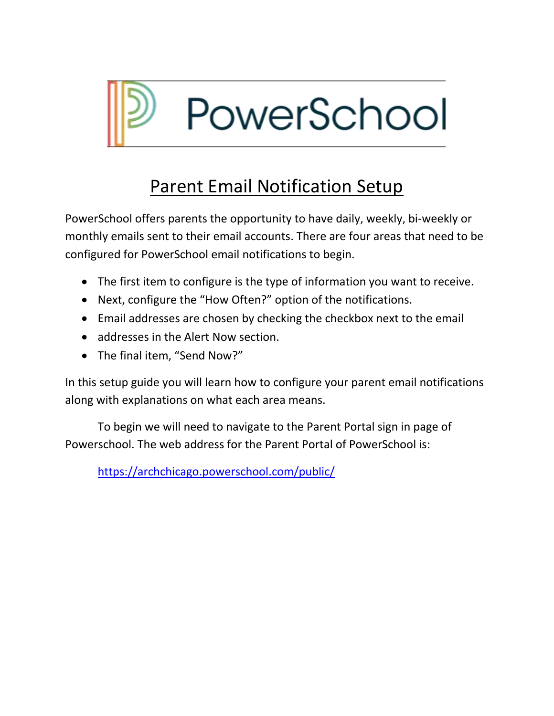

# Parent Email Notification Setup

PowerSchool offers parents the opportunity to have daily, weekly, bi-weekly or monthly emails sent to their email accounts. There are four areas that need to be configured for PowerSchool email notifications to begin.

- The first item to configure is the type of information you want to receive.
- Next, configure the "How Often?" option of the notifications.
- Email addresses are chosen by checking the checkbox next to the email
- addresses in the Alert Now section.
- The final item, "Send Now?"

In this setup guide you will learn how to configure your parent email notifications along with explanations on what each area means.

To begin we will need to navigate to the Parent Portal sign in page of Powerschool. The web address for the Parent Portal of PowerSchool is:

<https://archchicago.powerschool.com/public/>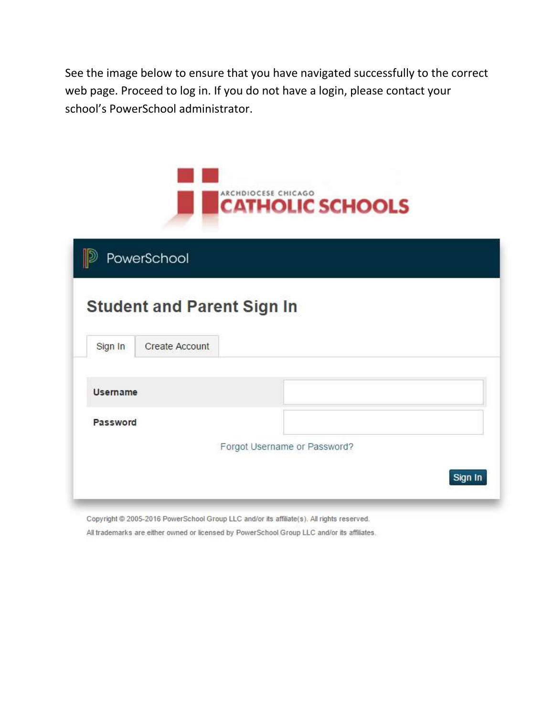See the image below to ensure that you have navigated successfully to the correct web page. Proceed to log in. If you do not have a login, please contact your school's PowerSchool administrator.

|          | PowerSchool                       |                              |  |  |
|----------|-----------------------------------|------------------------------|--|--|
|          |                                   |                              |  |  |
|          | <b>Student and Parent Sign In</b> |                              |  |  |
| Sign In  | Create Account                    |                              |  |  |
|          |                                   |                              |  |  |
|          |                                   |                              |  |  |
| Username |                                   |                              |  |  |
| Password |                                   |                              |  |  |
|          |                                   | Forgot Username or Password? |  |  |

Copyright @ 2005-2016 PowerSchool Group LLC and/or its affiliate(s). All rights reserved. All trademarks are either owned or licensed by PowerSchool Group LLC and/or its affiliates.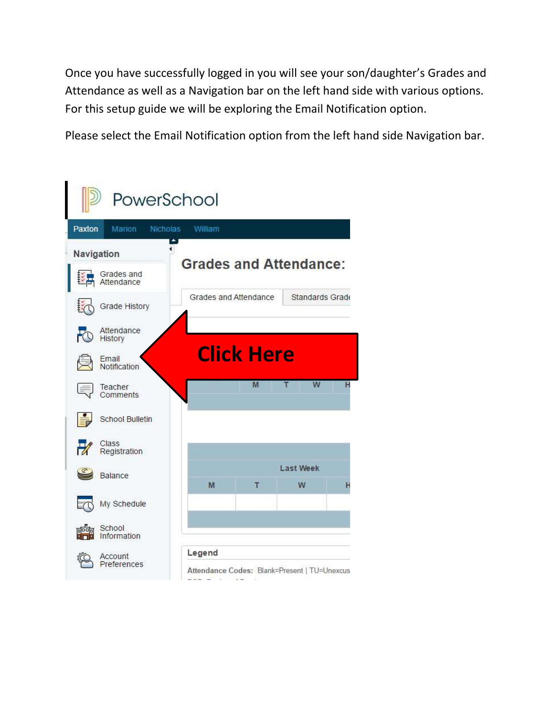Once you have successfully logged in you will see your son/daughter's Grades and Attendance as well as a Navigation bar on the left hand side with various options. For this setup guide we will be exploring the Email Notification option.

Please select the Email Notification option from the left hand side Navigation bar.

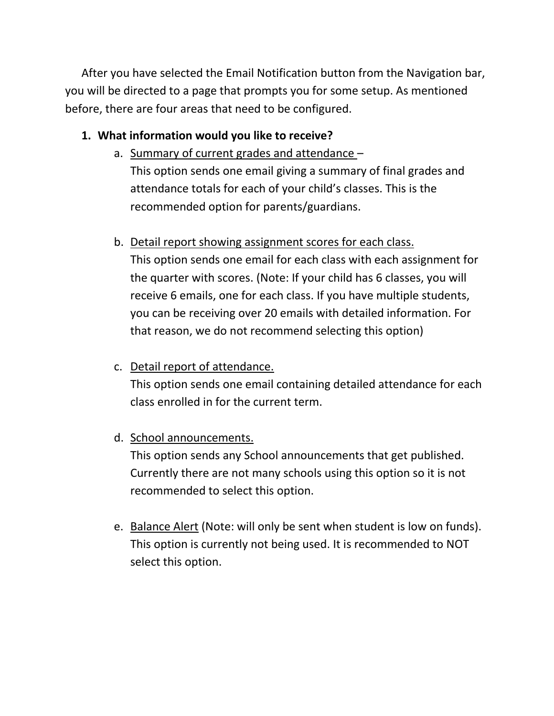After you have selected the Email Notification button from the Navigation bar, you will be directed to a page that prompts you for some setup. As mentioned before, there are four areas that need to be configured.

## **1. What information would you like to receive?**

- a. Summary of current grades and attendance This option sends one email giving a summary of final grades and attendance totals for each of your child's classes. This is the recommended option for parents/guardians.
- b. Detail report showing assignment scores for each class.

This option sends one email for each class with each assignment for the quarter with scores. (Note: If your child has 6 classes, you will receive 6 emails, one for each class. If you have multiple students, you can be receiving over 20 emails with detailed information. For that reason, we do not recommend selecting this option)

# c. Detail report of attendance.

This option sends one email containing detailed attendance for each class enrolled in for the current term.

# d. School announcements.

This option sends any School announcements that get published. Currently there are not many schools using this option so it is not recommended to select this option.

e. Balance Alert (Note: will only be sent when student is low on funds). This option is currently not being used. It is recommended to NOT select this option.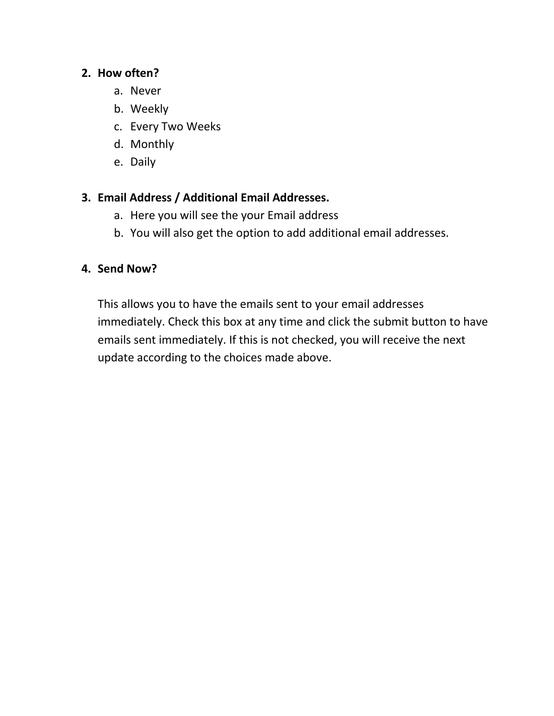#### **2. How often?**

- a. Never
- b. Weekly
- c. Every Two Weeks
- d. Monthly
- e. Daily

### **3. Email Address / Additional Email Addresses.**

- a. Here you will see the your Email address
- b. You will also get the option to add additional email addresses.

#### **4. Send Now?**

This allows you to have the emails sent to your email addresses immediately. Check this box at any time and click the submit button to have emails sent immediately. If this is not checked, you will receive the next update according to the choices made above.